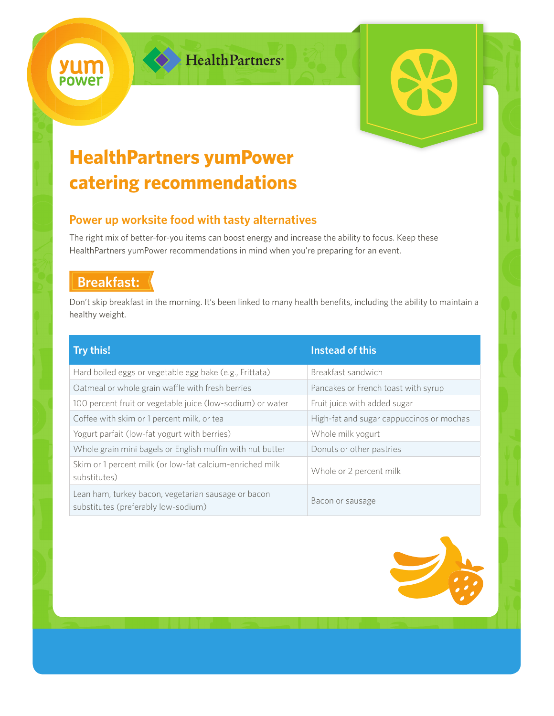

HealthPartners



# **HealthPartners yumPower catering recommendations**

### **Power up worksite food with tasty alternatives**

The right mix of better-for-you items can boost energy and increase the ability to focus. Keep these HealthPartners yumPower recommendations in mind when you're preparing for an event.

## **Breakfast:**

Don't skip breakfast in the morning. It's been linked to many health benefits, including the ability to maintain a healthy weight.

| Try this!                                                                                  | Instead of this                          |
|--------------------------------------------------------------------------------------------|------------------------------------------|
| Hard boiled eggs or vegetable egg bake (e.g., Frittata)                                    | Breakfast sandwich                       |
| Oatmeal or whole grain waffle with fresh berries                                           | Pancakes or French toast with syrup      |
| 100 percent fruit or vegetable juice (low-sodium) or water                                 | Fruit juice with added sugar             |
| Coffee with skim or 1 percent milk, or tea                                                 | High-fat and sugar cappuccinos or mochas |
| Yogurt parfait (low-fat yogurt with berries)                                               | Whole milk yogurt                        |
| Whole grain mini bagels or English muffin with nut butter                                  | Donuts or other pastries                 |
| Skim or 1 percent milk (or low-fat calcium-enriched milk<br>substitutes)                   | Whole or 2 percent milk                  |
| Lean ham, turkey bacon, vegetarian sausage or bacon<br>substitutes (preferably low-sodium) | Bacon or sausage                         |

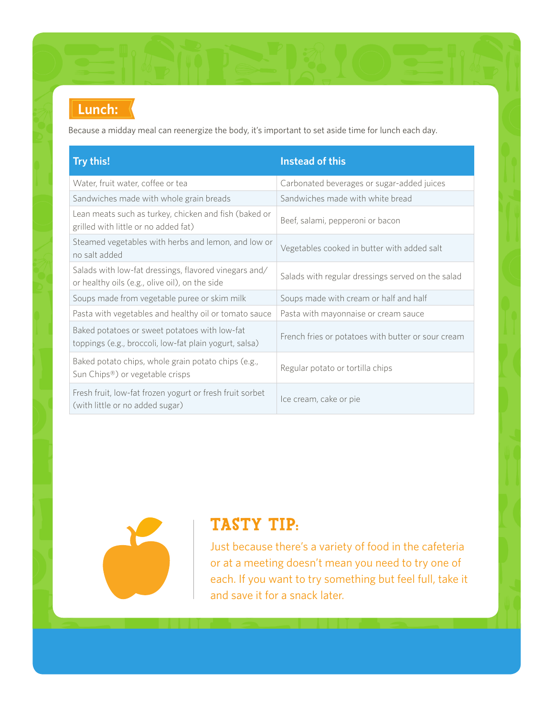## **Lunch: Lunch:**

Because a midday meal can reenergize the body, it's important to set aside time for lunch each day.

| Try this!                                                                                               | <b>Instead of this</b>                             |
|---------------------------------------------------------------------------------------------------------|----------------------------------------------------|
| Water, fruit water, coffee or tea                                                                       | Carbonated beverages or sugar-added juices         |
| Sandwiches made with whole grain breads                                                                 | Sandwiches made with white bread                   |
| Lean meats such as turkey, chicken and fish (baked or<br>grilled with little or no added fat)           | Beef, salami, pepperoni or bacon                   |
| Steamed vegetables with herbs and lemon, and low or<br>no salt added                                    | Vegetables cooked in butter with added salt        |
| Salads with low-fat dressings, flavored vinegars and/<br>or healthy oils (e.g., olive oil), on the side | Salads with regular dressings served on the salad  |
| Soups made from vegetable puree or skim milk                                                            | Soups made with cream or half and half             |
| Pasta with vegetables and healthy oil or tomato sauce                                                   | Pasta with mayonnaise or cream sauce               |
| Baked potatoes or sweet potatoes with low-fat<br>toppings (e.g., broccoli, low-fat plain yogurt, salsa) | French fries or potatoes with butter or sour cream |
| Baked potato chips, whole grain potato chips (e.g.,<br>Sun Chips <sup>®</sup> ) or vegetable crisps     | Regular potato or tortilla chips                   |
| Fresh fruit, low-fat frozen yogurt or fresh fruit sorbet<br>(with little or no added sugar)             | Ice cream, cake or pie                             |



## TASTY TIP:

Just because there's a variety of food in the cafeteria or at a meeting doesn't mean you need to try one of each. If you want to try something but feel full, take it and save it for a snack later.